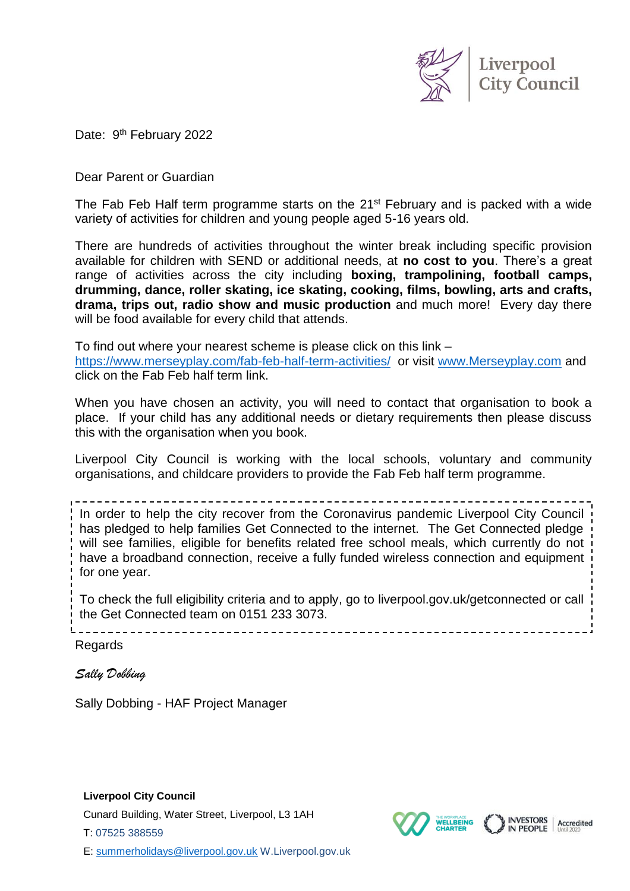

**INVESTORS** 

Accredited

**WELLBEING** 

Date: 9<sup>th</sup> February 2022

Dear Parent or Guardian

The Fab Feb Half term programme starts on the 21<sup>st</sup> February and is packed with a wide variety of activities for children and young people aged 5-16 years old.

There are hundreds of activities throughout the winter break including specific provision available for children with SEND or additional needs, at **no cost to you**. There's a great range of activities across the city including **boxing, trampolining, football camps, drumming, dance, roller skating, ice skating, cooking, films, bowling, arts and crafts, drama, trips out, radio show and music production** and much more! Every day there will be food available for every child that attends.

To find out where your nearest scheme is please click on this link – <https://www.merseyplay.com/fab-feb-half-term-activities/> or visit [www.Merseyplay.com](http://www.merseyplay.com/) and click on the Fab Feb half term link.

When you have chosen an activity, you will need to contact that organisation to book a place. If your child has any additional needs or dietary requirements then please discuss this with the organisation when you book.

Liverpool City Council is working with the local schools, voluntary and community organisations, and childcare providers to provide the Fab Feb half term programme.

In order to help the city recover from the Coronavirus pandemic Liverpool City Council has pledged to help families Get Connected to the internet. The Get Connected pledge will see families, eligible for benefits related free school meals, which currently do not have a broadband connection, receive a fully funded wireless connection and equipment for one year.

To check the full eligibility criteria and to apply, go to liverpool.gov.uk/getconnected or call the Get Connected team on 0151 233 3073.

Regards

*Sally Dobbing*

Sally Dobbing - HAF Project Manager

**Liverpool City Council**

Cunard Building, Water Street, Liverpool, L3 1AH

T: 07525 388559

E: [summerholidays@liverpool.gov.uk](mailto:summerholidays@liverpool.gov.uk) W.Liverpool.gov.uk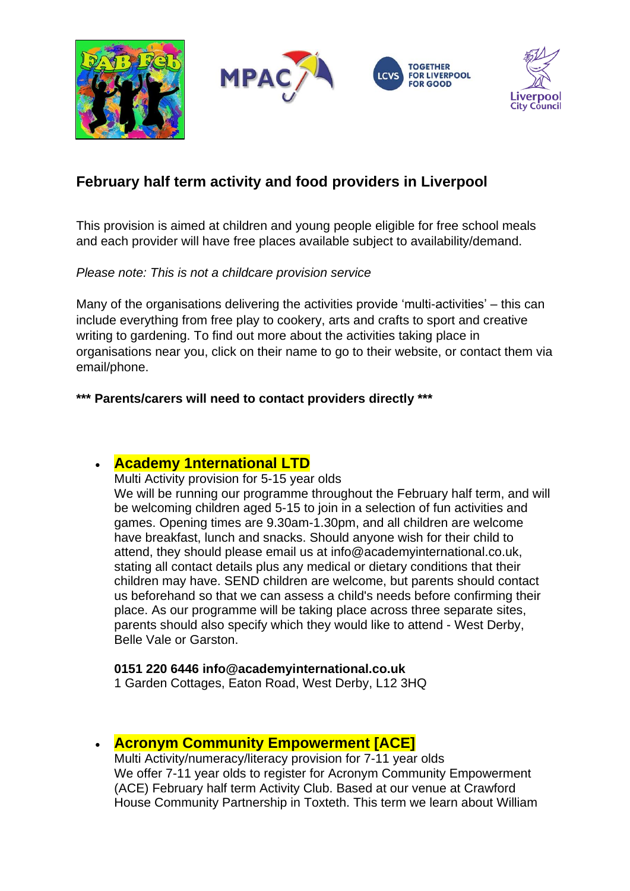

# **February half term activity and food providers in Liverpool**

This provision is aimed at children and young people eligible for free school meals and each provider will have free places available subject to availability/demand.

#### *Please note: This is not a childcare provision service*

Many of the organisations delivering the activities provide 'multi-activities' – this can include everything from free play to cookery, arts and crafts to sport and creative writing to gardening. To find out more about the activities taking place in organisations near you, click on their name to go to their website, or contact them via email/phone.

### **\*\*\* Parents/carers will need to contact providers directly \*\*\***

# • **[Academy 1nternational LTD](http://academy1nternational.co.uk/)**

Multi Activity provision for 5-15 year olds We will be running our programme throughout the February half term, and will be welcoming children aged 5-15 to join in a selection of fun activities and games. Opening times are 9.30am-1.30pm, and all children are welcome have breakfast, lunch and snacks. Should anyone wish for their child to attend, they should please email us at info@academyinternational.co.uk, stating all contact details plus any medical or dietary conditions that their children may have. SEND children are welcome, but parents should contact us beforehand so that we can assess a child's needs before confirming their place. As our programme will be taking place across three separate sites, parents should also specify which they would like to attend - West Derby, Belle Vale or Garston.

#### **0151 220 6446 info@academyinternational.co.uk**

1 Garden Cottages, Eaton Road, West Derby, L12 3HQ

### • **[Acronym Community Empowerment \[ACE\]](https://www.acronymcommunityempowerment.org/)**

Multi Activity/numeracy/literacy provision for 7-11 year olds We offer 7-11 year olds to register for Acronym Community Empowerment (ACE) February half term Activity Club. Based at our venue at Crawford House Community Partnership in Toxteth. This term we learn about William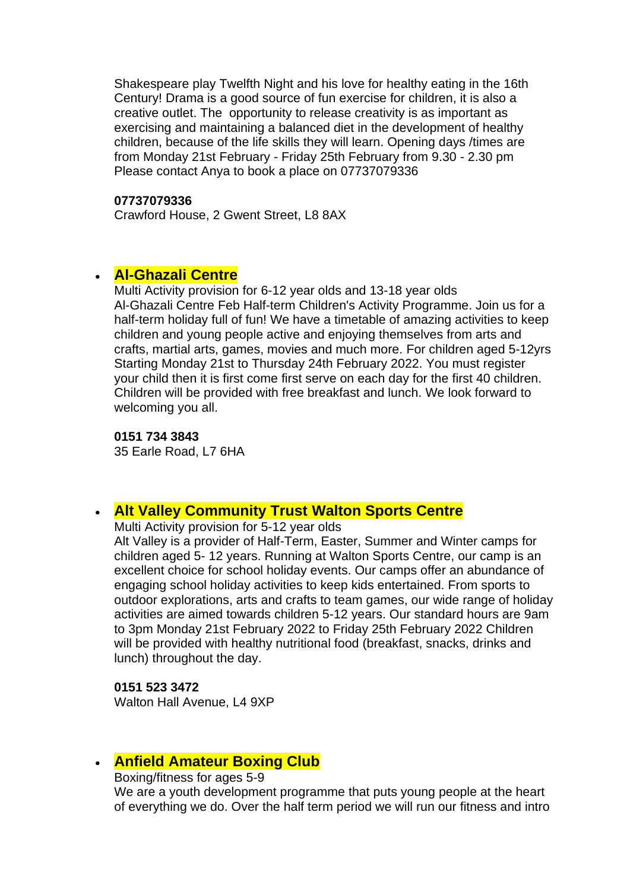Shakespeare play Twelfth Night and his love for healthy eating in the 16th Century! Drama is a good source of fun exercise for children, it is also a creative outlet. The opportunity to release creativity is as important as exercising and maintaining a balanced diet in the development of healthy children, because of the life skills they will learn. Opening days /times are from Monday 21st February - Friday 25th February from 9.30 - 2.30 pm Please contact Anya to book a place on 07737079336

#### **07737079336**

Crawford House, 2 Gwent Street, L8 8AX

### • **[Al-Ghazali Centre](https://alghazalicentre.co.uk/)**

Multi Activity provision for 6-12 year olds and 13-18 year olds Al-Ghazali Centre Feb Half-term Children's Activity Programme. Join us for a half-term holiday full of fun! We have a timetable of amazing activities to keep children and young people active and enjoying themselves from arts and crafts, martial arts, games, movies and much more. For children aged 5-12yrs Starting Monday 21st to Thursday 24th February 2022. You must register your child then it is first come first serve on each day for the first 40 children. Children will be provided with free breakfast and lunch. We look forward to welcoming you all.

**0151 734 3843** 35 Earle Road, L7 6HA

### • **[Alt Valley Community Trust](https://www.altvalley.co.uk/lifestyleswalton) Walton Sports Centre**

Multi Activity provision for 5-12 year olds

Alt Valley is a provider of Half-Term, Easter, Summer and Winter camps for children aged 5- 12 years. Running at Walton Sports Centre, our camp is an excellent choice for school holiday events. Our camps offer an abundance of engaging school holiday activities to keep kids entertained. From sports to outdoor explorations, arts and crafts to team games, our wide range of holiday activities are aimed towards children 5-12 years. Our standard hours are 9am to 3pm Monday 21st February 2022 to Friday 25th February 2022 Children will be provided with healthy nutritional food (breakfast, snacks, drinks and lunch) throughout the day.

**0151 523 3472**

Walton Hall Avenue, L4 9XP

### • **[Anfield Amateur Boxing Club](https://www.thelivewelldirectory.com/Services/2470/Anfield-North-Live)**

Boxing/fitness for ages 5-9

We are a youth development programme that puts young people at the heart of everything we do. Over the half term period we will run our fitness and intro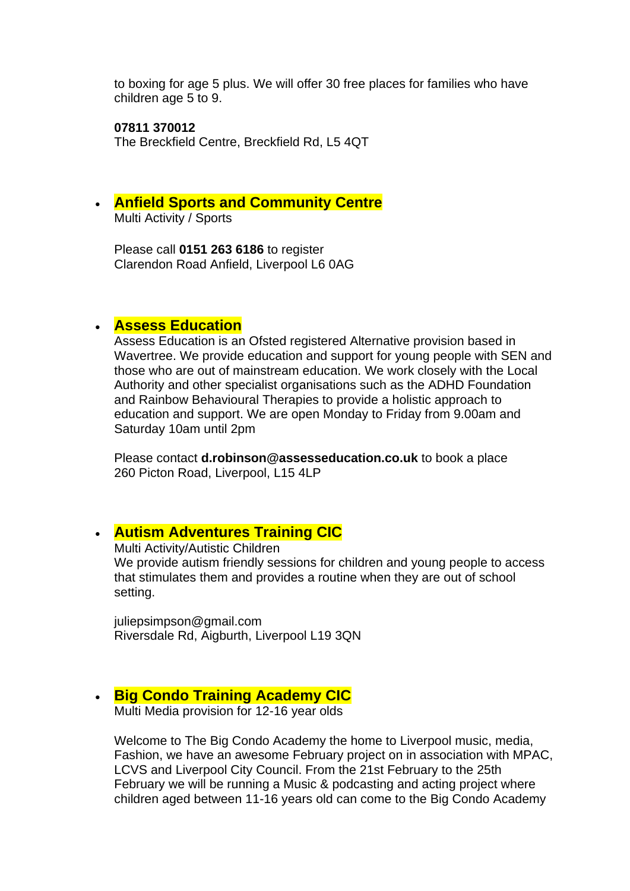to boxing for age 5 plus. We will offer 30 free places for families who have children age 5 to 9.

**07811 370012** The Breckfield Centre, Breckfield Rd, L5 4QT

• **Anfield Sports and Community Centre**

Multi Activity / Sports

Please call **0151 263 6186** to register Clarendon Road Anfield, Liverpool L6 0AG

## • **Assess Education**

Assess Education is an Ofsted registered Alternative provision based in Wavertree. We provide education and support for young people with SEN and those who are out of mainstream education. We work closely with the Local Authority and other specialist organisations such as the ADHD Foundation and Rainbow Behavioural Therapies to provide a holistic approach to education and support. We are open Monday to Friday from 9.00am and Saturday 10am until 2pm

Please contact **d.robinson@assesseducation.co.uk** to book a place 260 Picton Road, Liverpool, L15 4LP

# • **[Autism Adventures Training CIC](http://liverpoolautismadventures.co.uk/)**

Multi Activity/Autistic Children

We provide autism friendly sessions for children and young people to access that stimulates them and provides a routine when they are out of school setting.

juliepsimpson@gmail.com Riversdale Rd, Aigburth, Liverpool L19 3QN

# • **[Big Condo Training Academy CIC](http://bigcondoacademy.co.uk/)**

Multi Media provision for 12-16 year olds

Welcome to The Big Condo Academy the home to Liverpool music, media, Fashion, we have an awesome February project on in association with MPAC, LCVS and Liverpool City Council. From the 21st February to the 25th February we will be running a Music & podcasting and acting project where children aged between 11-16 years old can come to the Big Condo Academy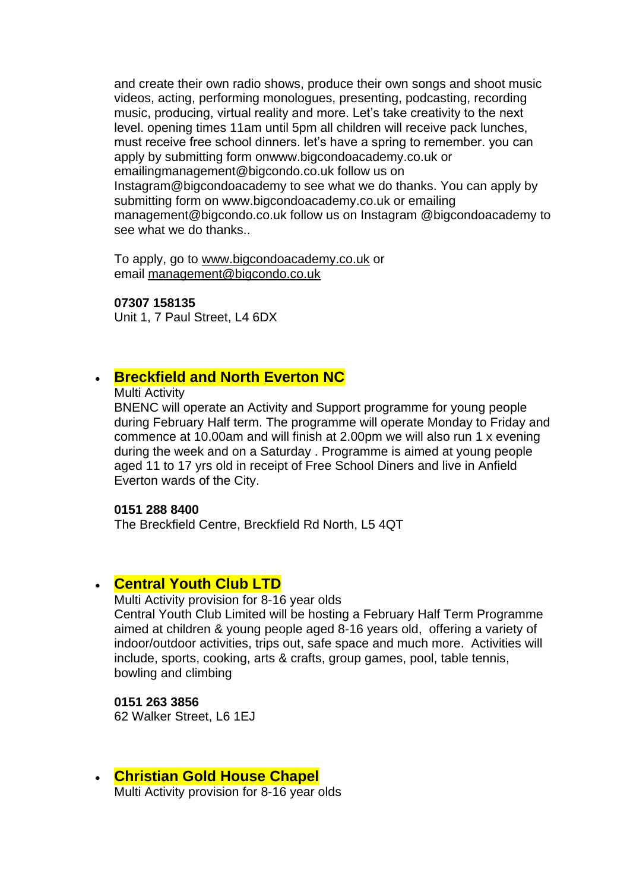and create their own radio shows, produce their own songs and shoot music videos, acting, performing monologues, presenting, podcasting, recording music, producing, virtual reality and more. Let's take creativity to the next level. opening times 11am until 5pm all children will receive pack lunches, must receive free school dinners. let's have a spring to remember. you can apply by submitting form onwww.bigcondoacademy.co.uk or emailingmanagement@bigcondo.co.uk follow us on Instagram@bigcondoacademy to see what we do thanks. You can apply by submitting form on www.bigcondoacademy.co.uk or emailing management@bigcondo.co.uk follow us on Instagram @bigcondoacademy to see what we do thanks..

To apply, go to [www.bigcondoacademy.co.uk](http://www.bigcondoacademy.co.uk/) or email [management@bigcondo.co.uk](mailto:management@bigcondo.co.uk)

#### **07307 158135**

Unit 1, 7 Paul Street, L4 6DX

### • **Breckfield and North Everton NC**

Multi Activity

BNENC will operate an Activity and Support programme for young people during February Half term. The programme will operate Monday to Friday and commence at 10.00am and will finish at 2.00pm we will also run 1 x evening during the week and on a Saturday . Programme is aimed at young people aged 11 to 17 yrs old in receipt of Free School Diners and live in Anfield Everton wards of the City.

#### **0151 288 8400**

The Breckfield Centre, Breckfield Rd North, L5 4QT

#### • **[Central Youth Club LTD](https://www.familiesonline.co.uk/local/liverpool/listing/central-youth-club-liverpool-186457)**

Multi Activity provision for 8-16 year olds

Central Youth Club Limited will be hosting a February Half Term Programme aimed at children & young people aged 8-16 years old, offering a variety of indoor/outdoor activities, trips out, safe space and much more. Activities will include, sports, cooking, arts & crafts, group games, pool, table tennis, bowling and climbing

**0151 263 3856** 62 Walker Street, L6 1EJ

• **Christian Gold House Chapel** Multi Activity provision for 8-16 year olds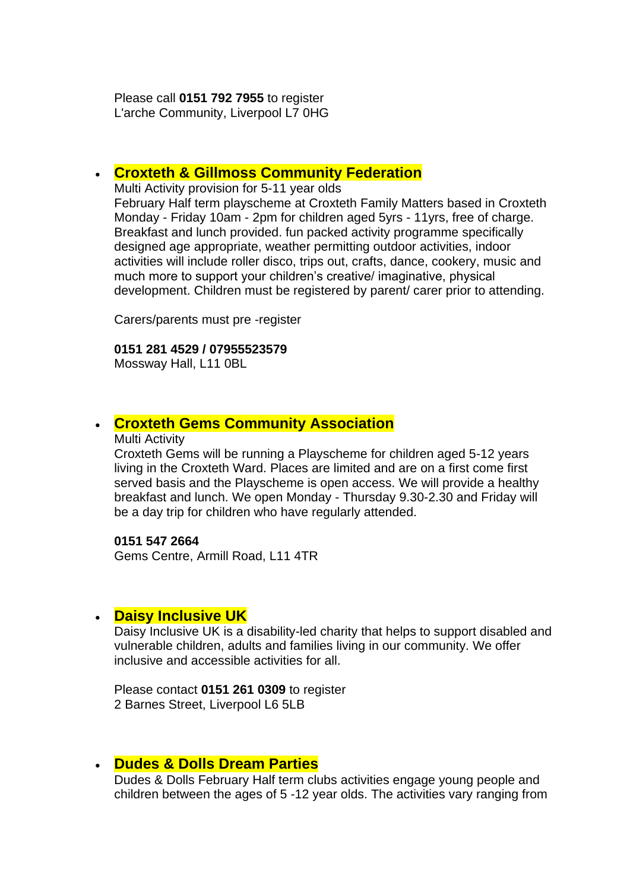Please call **0151 792 7955** to register L'arche Community, Liverpool L7 0HG

#### • **[Croxteth & Gillmoss Community Federation](http://www.croxtethfamilymatters.co.uk/home.html)**

Multi Activity provision for 5-11 year olds

February Half term playscheme at Croxteth Family Matters based in Croxteth Monday - Friday 10am - 2pm for children aged 5yrs - 11yrs, free of charge. Breakfast and lunch provided. fun packed activity programme specifically designed age appropriate, weather permitting outdoor activities, indoor activities will include roller disco, trips out, crafts, dance, cookery, music and much more to support your children's creative/ imaginative, physical development. Children must be registered by parent/ carer prior to attending.

Carers/parents must pre -register

#### **0151 281 4529 / 07955523579**

Mossway Hall, L11 0BL

### • **[Croxteth Gems Community Association](https://www.facebook.com/Croxteth-Gems-1764266527136603/)**

#### Multi Activity

Croxteth Gems will be running a Playscheme for children aged 5-12 years living in the Croxteth Ward. Places are limited and are on a first come first served basis and the Playscheme is open access. We will provide a healthy breakfast and lunch. We open Monday - Thursday 9.30-2.30 and Friday will be a day trip for children who have regularly attended.

#### **0151 547 2664**

Gems Centre, Armill Road, L11 4TR

### • **[Daisy](https://www.facebook.com/deysbrook.centre/) Inclusive UK**

Daisy Inclusive UK is a disability-led charity that helps to support disabled and vulnerable children, adults and families living in our community. We offer inclusive and accessible activities for all.

Please contact **0151 261 0309** to register 2 Barnes Street, Liverpool L6 5LB

### • **Dudes & Dolls Dream Parties**

Dudes & Dolls February Half term clubs activities engage young people and children between the ages of 5 -12 year olds. The activities vary ranging from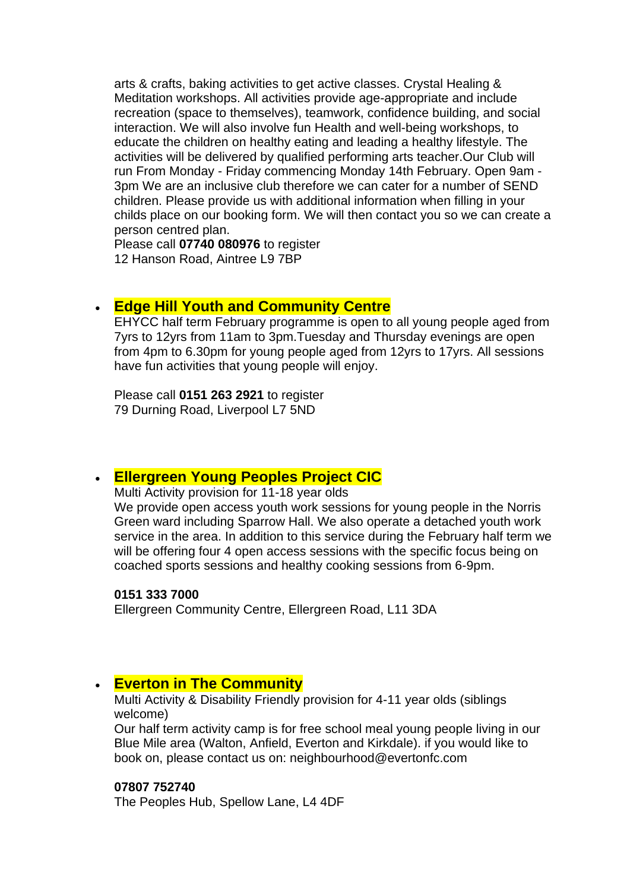arts & crafts, baking activities to get active classes. Crystal Healing & Meditation workshops. All activities provide age-appropriate and include recreation (space to themselves), teamwork, confidence building, and social interaction. We will also involve fun Health and well-being workshops, to educate the children on healthy eating and leading a healthy lifestyle. The activities will be delivered by qualified performing arts teacher.Our Club will run From Monday - Friday commencing Monday 14th February. Open 9am - 3pm We are an inclusive club therefore we can cater for a number of SEND children. Please provide us with additional information when filling in your childs place on our booking form. We will then contact you so we can create a person centred plan.

Please call **07740 080976** to register 12 Hanson Road, Aintree L9 7BP

### • **[Edge](https://www.facebook.com/Ellergreen-Community-Centre-1622527047766550/about/) Hill Youth and Community Centre**

EHYCC half term February programme is open to all young people aged from 7yrs to 12yrs from 11am to 3pm.Tuesday and Thursday evenings are open from 4pm to 6.30pm for young people aged from 12yrs to 17yrs. All sessions have fun activities that young people will enjoy.

Please call **0151 263 2921** to register 79 Durning Road, Liverpool L7 5ND

### • **[Ellergreen Young Peoples Project CIC](https://www.facebook.com/Ellergreen-Community-Centre-1622527047766550/about/)**

Multi Activity provision for 11-18 year olds

We provide open access youth work sessions for young people in the Norris Green ward including Sparrow Hall. We also operate a detached youth work service in the area. In addition to this service during the February half term we will be offering four 4 open access sessions with the specific focus being on coached sports sessions and healthy cooking sessions from 6-9pm.

#### **0151 333 7000**

Ellergreen Community Centre, Ellergreen Road, L11 3DA

### • **[Everton in The Community](https://www.evertoninthecommunity.org/)**

Multi Activity & Disability Friendly provision for 4-11 year olds (siblings welcome)

Our half term activity camp is for free school meal young people living in our Blue Mile area (Walton, Anfield, Everton and Kirkdale). if you would like to book on, please contact us on: neighbourhood@evertonfc.com

#### **07807 752740**

The Peoples Hub, Spellow Lane, L4 4DF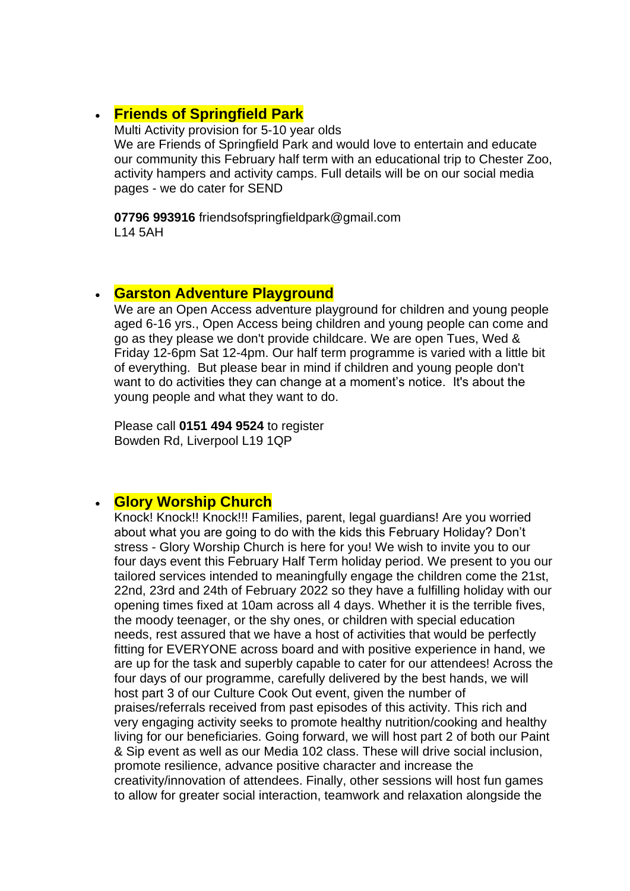# • **Friends of Springfield Park**

Multi Activity provision for 5-10 year olds We are Friends of Springfield Park and would love to entertain and educate our community this February half term with an educational trip to Chester Zoo, activity hampers and activity camps. Full details will be on our social media pages - we do cater for SEND

**07796 993916** friendsofspringfieldpark@gmail.com L14 5AH

### • **Garston Adventure Playground**

We are an Open Access adventure playground for children and young people aged 6-16 yrs., Open Access being children and young people can come and go as they please we don't provide childcare. We are open Tues, Wed & Friday 12-6pm Sat 12-4pm. Our half term programme is varied with a little bit of everything. But please bear in mind if children and young people don't want to do activities they can change at a moment's notice. It's about the young people and what they want to do.

Please call **0151 494 9524** to register Bowden Rd, Liverpool L19 1QP

### • **Glory Worship Church**

Knock! Knock!! Knock!!! Families, parent, legal guardians! Are you worried about what you are going to do with the kids this February Holiday? Don't stress - Glory Worship Church is here for you! We wish to invite you to our four days event this February Half Term holiday period. We present to you our tailored services intended to meaningfully engage the children come the 21st, 22nd, 23rd and 24th of February 2022 so they have a fulfilling holiday with our opening times fixed at 10am across all 4 days. Whether it is the terrible fives, the moody teenager, or the shy ones, or children with special education needs, rest assured that we have a host of activities that would be perfectly fitting for EVERYONE across board and with positive experience in hand, we are up for the task and superbly capable to cater for our attendees! Across the four days of our programme, carefully delivered by the best hands, we will host part 3 of our Culture Cook Out event, given the number of praises/referrals received from past episodes of this activity. This rich and very engaging activity seeks to promote healthy nutrition/cooking and healthy living for our beneficiaries. Going forward, we will host part 2 of both our Paint & Sip event as well as our Media 102 class. These will drive social inclusion, promote resilience, advance positive character and increase the creativity/innovation of attendees. Finally, other sessions will host fun games to allow for greater social interaction, teamwork and relaxation alongside the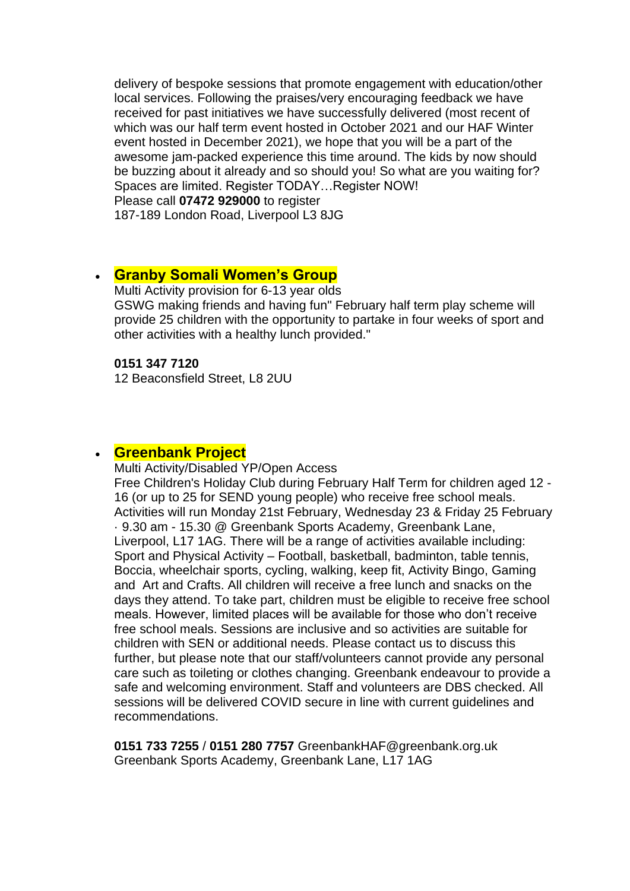delivery of bespoke sessions that promote engagement with education/other local services. Following the praises/very encouraging feedback we have received for past initiatives we have successfully delivered (most recent of which was our half term event hosted in October 2021 and our HAF Winter event hosted in December 2021), we hope that you will be a part of the awesome jam-packed experience this time around. The kids by now should be buzzing about it already and so should you! So what are you waiting for? Spaces are limited. Register TODAY…Register NOW! Please call **07472 929000** to register

187-189 London Road, Liverpool L3 8JG

### • **[Granby Somali Women's Group](http://www.granbysomaliwomensgroup.org/)**

Multi Activity provision for 6-13 year olds GSWG making friends and having fun" February half term play scheme will provide 25 children with the opportunity to partake in four weeks of sport and other activities with a healthy lunch provided."

#### **0151 347 7120**

12 Beaconsfield Street, L8 2UU

#### • **[Greenbank Project](https://www.greenbank.org.uk/)**

Multi Activity/Disabled YP/Open Access

Free Children's Holiday Club during February Half Term for children aged 12 - 16 (or up to 25 for SEND young people) who receive free school meals. Activities will run Monday 21st February, Wednesday 23 & Friday 25 February · 9.30 am - 15.30 @ Greenbank Sports Academy, Greenbank Lane, Liverpool, L17 1AG. There will be a range of activities available including: Sport and Physical Activity – Football, basketball, badminton, table tennis, Boccia, wheelchair sports, cycling, walking, keep fit, Activity Bingo, Gaming and Art and Crafts. All children will receive a free lunch and snacks on the days they attend. To take part, children must be eligible to receive free school meals. However, limited places will be available for those who don't receive free school meals. Sessions are inclusive and so activities are suitable for children with SEN or additional needs. Please contact us to discuss this further, but please note that our staff/volunteers cannot provide any personal care such as toileting or clothes changing. Greenbank endeavour to provide a safe and welcoming environment. Staff and volunteers are DBS checked. All sessions will be delivered COVID secure in line with current guidelines and recommendations.

**0151 733 7255** / **0151 280 7757** GreenbankHAF@greenbank.org.uk Greenbank Sports Academy, Greenbank Lane, L17 1AG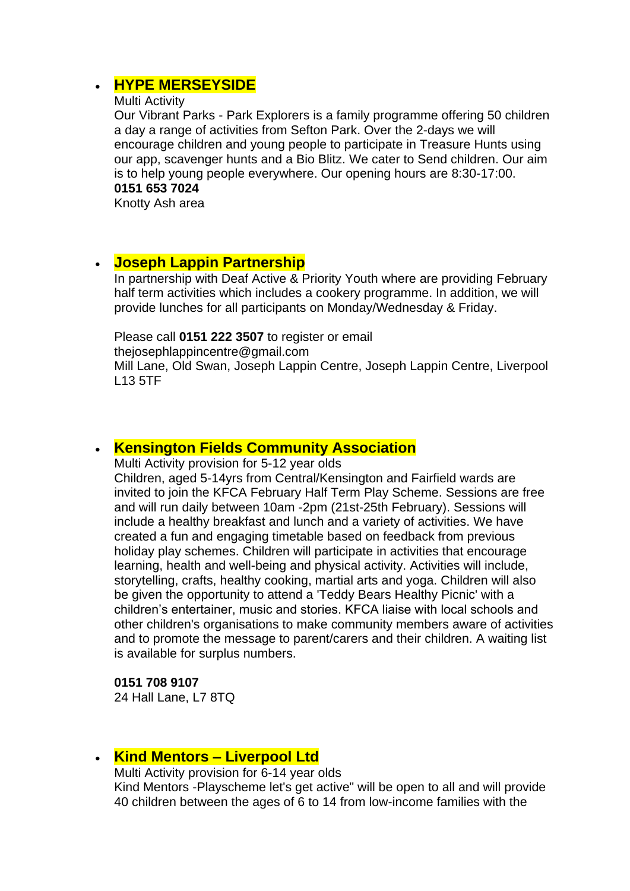# • **[HYPE MERSEYSIDE](http://hype-merseyside.co.uk/)**

#### Multi Activity

Our Vibrant Parks - Park Explorers is a family programme offering 50 children a day a range of activities from Sefton Park. Over the 2-days we will encourage children and young people to participate in Treasure Hunts using our app, scavenger hunts and a Bio Blitz. We cater to Send children. Our aim is to help young people everywhere. Our opening hours are 8:30-17:00. **0151 653 7024**

Knotty Ash area

L13 5TF

### • **Joseph Lappin Partnership**

In partnership with Deaf Active & Priority Youth where are providing February half term activities which includes a cookery programme. In addition, we will provide lunches for all participants on Monday/Wednesday & Friday.

#### Please call **0151 222 3507** to register or email

thejosephlappincentre@gmail.com Mill Lane, Old Swan, Joseph Lappin Centre, Joseph Lappin Centre, Liverpool

### • **[Kensington Fields Community Association](https://www.facebook.com/Kensington-Fields-Community-Centre-152367372066953/)**

Multi Activity provision for 5-12 year olds

Children, aged 5-14yrs from Central/Kensington and Fairfield wards are invited to join the KFCA February Half Term Play Scheme. Sessions are free and will run daily between 10am -2pm (21st-25th February). Sessions will include a healthy breakfast and lunch and a variety of activities. We have created a fun and engaging timetable based on feedback from previous holiday play schemes. Children will participate in activities that encourage learning, health and well-being and physical activity. Activities will include, storytelling, crafts, healthy cooking, martial arts and yoga. Children will also be given the opportunity to attend a 'Teddy Bears Healthy Picnic' with a children's entertainer, music and stories. KFCA liaise with local schools and other children's organisations to make community members aware of activities and to promote the message to parent/carers and their children. A waiting list is available for surplus numbers.

#### **0151 708 9107**

24 Hall Lane, L7 8TQ

# • **Kind Mentors – Liverpool Ltd**

Multi Activity provision for 6-14 year olds Kind Mentors -Playscheme let's get active" will be open to all and will provide 40 children between the ages of 6 to 14 from low-income families with the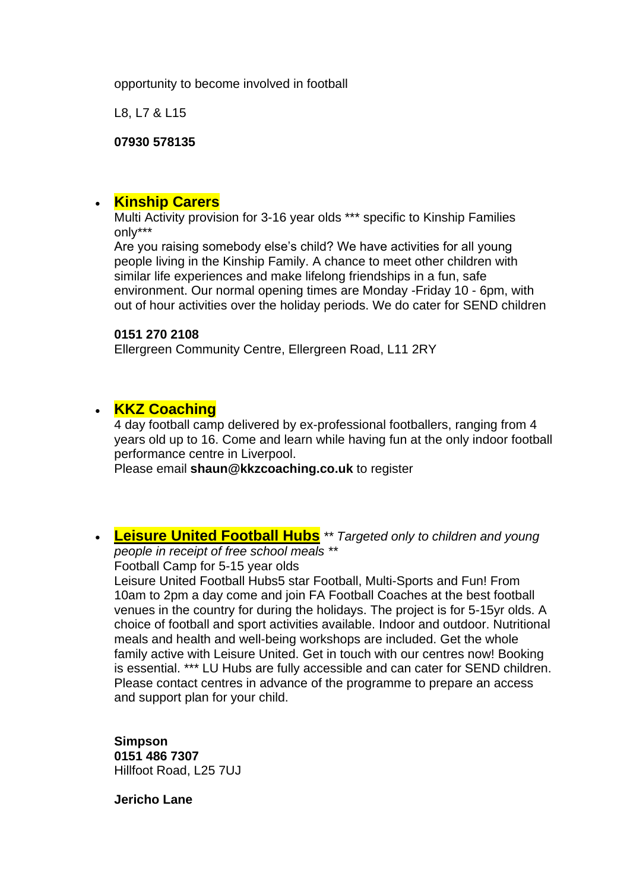opportunity to become involved in football

L8, L7 & L15

**07930 578135**

## • **[Kinship Carers](https://kinshipcarersliverpool.co.uk/)**

Multi Activity provision for 3-16 year olds \*\*\* specific to Kinship Families only\*\*\*

Are you raising somebody else's child? We have activities for all young people living in the Kinship Family. A chance to meet other children with similar life experiences and make lifelong friendships in a fun, safe environment. Our normal opening times are Monday -Friday 10 - 6pm, with out of hour activities over the holiday periods. We do cater for SEND children

#### **0151 270 2108**

Ellergreen Community Centre, Ellergreen Road, L11 2RY

# • **KKZ Coaching**

4 day football camp delivered by ex-professional footballers, ranging from 4 years old up to 16. Come and learn while having fun at the only indoor football performance centre in Liverpool.

Please email **shaun@kkzcoaching.co.uk** to register

• **[Leisure United Football Hubs](https://leisureunited.com/)** *\*\* Targeted only to children and young people in receipt of free school meals \*\**

Football Camp for 5-15 year olds

Leisure United Football Hubs5 star Football, Multi-Sports and Fun! From 10am to 2pm a day come and join FA Football Coaches at the best football venues in the country for during the holidays. The project is for 5-15yr olds. A choice of football and sport activities available. Indoor and outdoor. Nutritional meals and health and well-being workshops are included. Get the whole family active with Leisure United. Get in touch with our centres now! Booking is essential. \*\*\* LU Hubs are fully accessible and can cater for SEND children. Please contact centres in advance of the programme to prepare an access and support plan for your child.

**Simpson 0151 486 7307** Hillfoot Road, L25 7UJ

**Jericho Lane**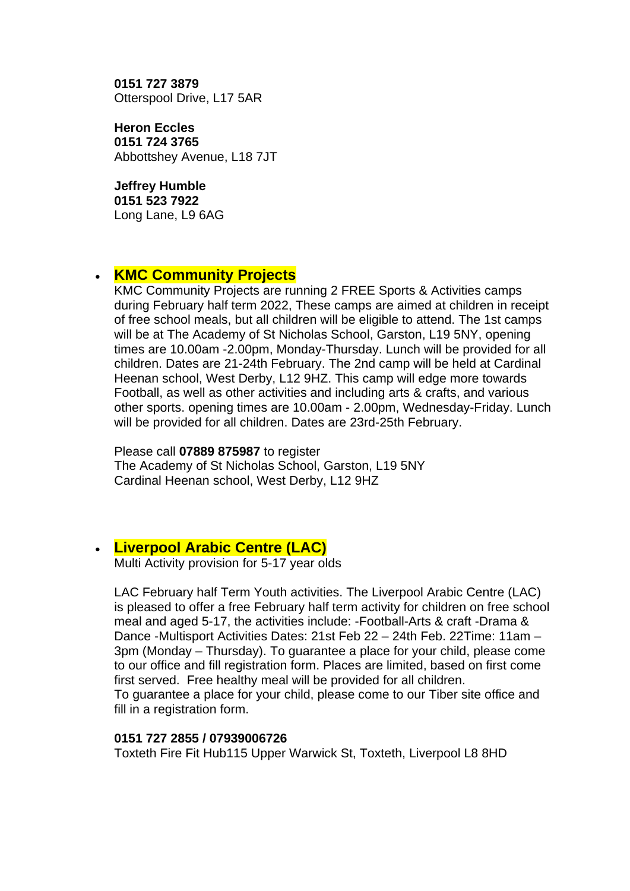**0151 727 3879** Otterspool Drive, L17 5AR

**Heron Eccles 0151 724 3765** Abbottshey Avenue, L18 7JT

**Jeffrey Humble 0151 523 7922** Long Lane, L9 6AG

### • **KMC Community Projects**

KMC Community Projects are running 2 FREE Sports & Activities camps during February half term 2022, These camps are aimed at children in receipt of free school meals, but all children will be eligible to attend. The 1st camps will be at The Academy of St Nicholas School, Garston, L19 5NY, opening times are 10.00am -2.00pm, Monday-Thursday. Lunch will be provided for all children. Dates are 21-24th February. The 2nd camp will be held at Cardinal Heenan school, West Derby, L12 9HZ. This camp will edge more towards Football, as well as other activities and including arts & crafts, and various other sports. opening times are 10.00am - 2.00pm, Wednesday-Friday. Lunch will be provided for all children. Dates are 23rd-25th February.

Please call **07889 875987** to register

The Academy of St Nicholas School, Garston, L19 5NY Cardinal Heenan school, West Derby, L12 9HZ

# • **[Liverpool Arabic Centre \(LAC\)](https://liverpoolarabiccentre.org.uk/)**

Multi Activity provision for 5-17 year olds

LAC February half Term Youth activities. The Liverpool Arabic Centre (LAC) is pleased to offer a free February half term activity for children on free school meal and aged 5-17, the activities include: -Football-Arts & craft -Drama & Dance -Multisport Activities Dates: 21st Feb 22 – 24th Feb. 22Time: 11am – 3pm (Monday – Thursday). To guarantee a place for your child, please come to our office and fill registration form. Places are limited, based on first come first served. Free healthy meal will be provided for all children. To guarantee a place for your child, please come to our Tiber site office and fill in a registration form.

#### **0151 727 2855 / 07939006726**

Toxteth Fire Fit Hub115 Upper Warwick St, Toxteth, Liverpool L8 8HD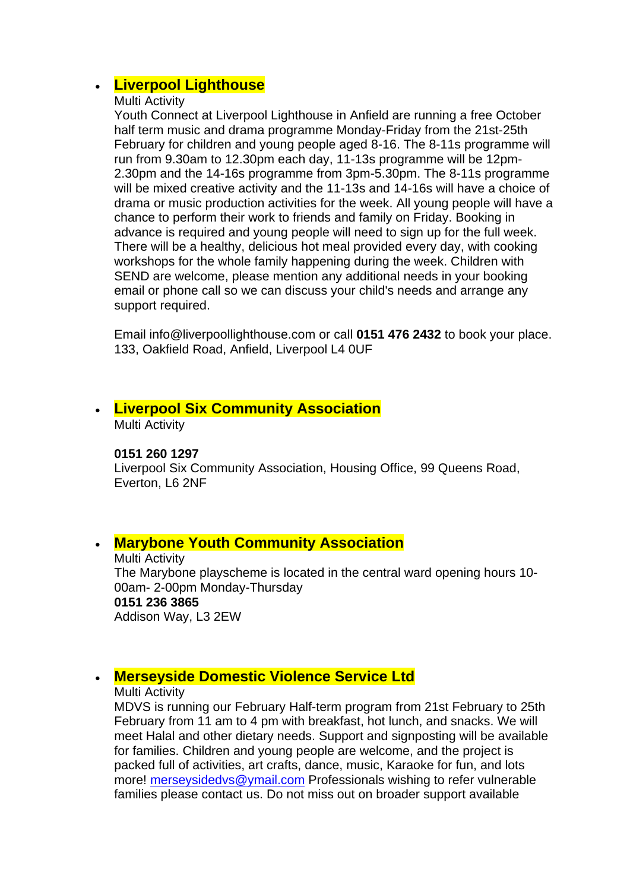# • **Liverpool Lighthouse**

#### Multi Activity

Youth Connect at Liverpool Lighthouse in Anfield are running a free October half term music and drama programme Monday-Friday from the 21st-25th February for children and young people aged 8-16. The 8-11s programme will run from 9.30am to 12.30pm each day, 11-13s programme will be 12pm-2.30pm and the 14-16s programme from 3pm-5.30pm. The 8-11s programme will be mixed creative activity and the 11-13s and 14-16s will have a choice of drama or music production activities for the week. All young people will have a chance to perform their work to friends and family on Friday. Booking in advance is required and young people will need to sign up for the full week. There will be a healthy, delicious hot meal provided every day, with cooking workshops for the whole family happening during the week. Children with SEND are welcome, please mention any additional needs in your booking email or phone call so we can discuss your child's needs and arrange any support required.

Email info@liverpoollighthouse.com or call **0151 476 2432** to book your place. 133, Oakfield Road, Anfield, Liverpool L4 0UF

# • **[Liverpool Six Community Association](https://liverpool6community.wixsite.com/website)**

Multi Activity

#### **0151 260 1297**

Liverpool Six Community Association, Housing Office, 99 Queens Road, Everton, L6 2NF

### • **[Marybone Youth Community Association](http://www.marybone.org.uk/)**

Multi Activity The Marybone playscheme is located in the central ward opening hours 10- 00am- 2-00pm Monday-Thursday **0151 236 3865** Addison Way, L3 2EW

# • **[Merseyside Domestic Violence Service Ltd](https://www.mdvs.org/)**

#### Multi Activity

MDVS is running our February Half-term program from 21st February to 25th February from 11 am to 4 pm with breakfast, hot lunch, and snacks. We will meet Halal and other dietary needs. Support and signposting will be available for families. Children and young people are welcome, and the project is packed full of activities, art crafts, dance, music, Karaoke for fun, and lots more! [merseysidedvs@ymail.com](mailto:merseysidedvs@ymail.com) Professionals wishing to refer vulnerable families please contact us. Do not miss out on broader support available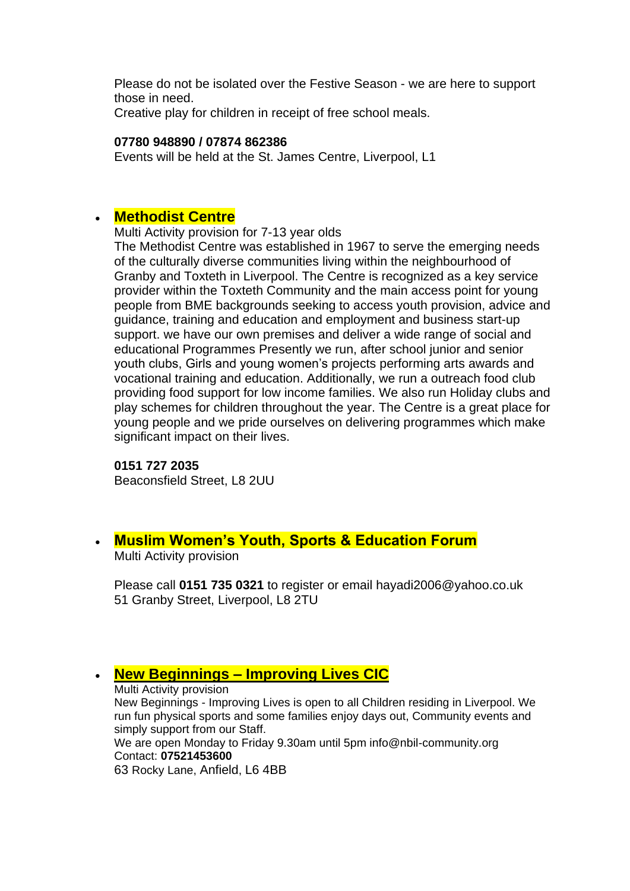Please do not be isolated over the Festive Season - we are here to support those in need.

Creative play for children in receipt of free school meals.

#### **07780 948890 / 07874 862386**

Events will be held at the St. James Centre, Liverpool, L1

### • **[Methodist Centre](https://www.familiesonline.co.uk/local/liverpool/listing/the-methodist-centre-190912)**

Multi Activity provision for 7-13 year olds

The Methodist Centre was established in 1967 to serve the emerging needs of the culturally diverse communities living within the neighbourhood of Granby and Toxteth in Liverpool. The Centre is recognized as a key service provider within the Toxteth Community and the main access point for young people from BME backgrounds seeking to access youth provision, advice and guidance, training and education and employment and business start-up support. we have our own premises and deliver a wide range of social and educational Programmes Presently we run, after school junior and senior youth clubs, Girls and young women's projects performing arts awards and vocational training and education. Additionally, we run a outreach food club providing food support for low income families. We also run Holiday clubs and play schemes for children throughout the year. The Centre is a great place for young people and we pride ourselves on delivering programmes which make significant impact on their lives.

#### **0151 727 2035**

Beaconsfield Street, L8 2UU

# • **Muslim Women's Youth, Sports & Education Forum**

Multi Activity provision

Please call **0151 735 0321** to register or email hayadi2006@yahoo.co.uk 51 Granby Street, Liverpool, L8 2TU

• **New Beginnings – [Improving Lives CIC](https://www.nbil-community.org/)** Multi Activity provision New Beginnings - Improving Lives is open to all Children residing in Liverpool. We run fun physical sports and some families enjoy days out, Community events and simply support from our Staff. We are open Monday to Friday 9.30am until 5pm info@nbil-community.org Contact: **07521453600** 63 Rocky Lane, Anfield, L6 4BB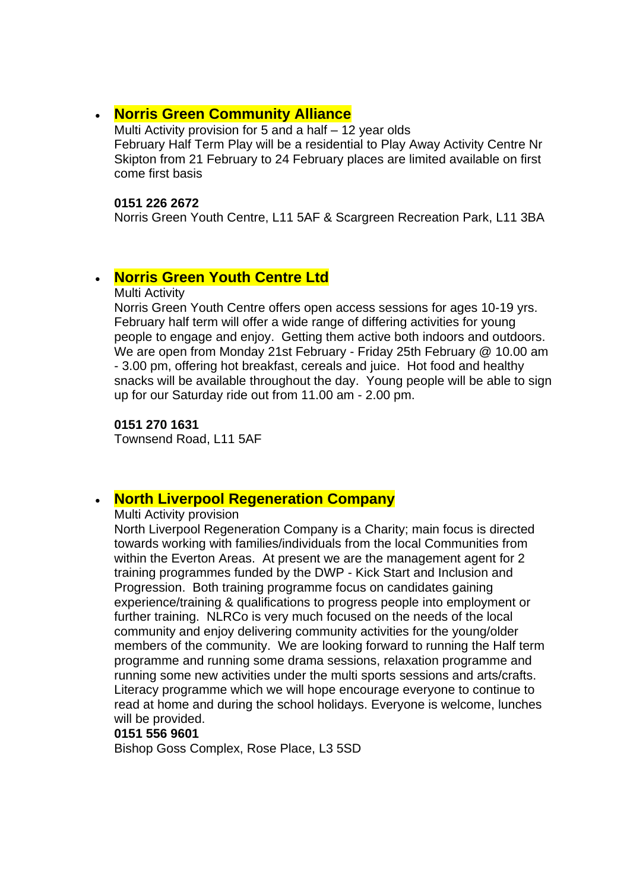### • **[Norris Green Community Alliance](https://www.facebook.com/NorrisGreenCommunityAlliance/)**

Multi Activity provision for 5 and a half – 12 year olds February Half Term Play will be a residential to Play Away Activity Centre Nr Skipton from 21 February to 24 February places are limited available on first come first basis

#### **0151 226 2672**

Norris Green Youth Centre, L11 5AF & Scargreen Recreation Park, L11 3BA

# • **[Norris Green Youth Centre Ltd](https://www.facebook.com/norrisgreenyouthcentre/)**

Multi Activity

Norris Green Youth Centre offers open access sessions for ages 10-19 yrs. February half term will offer a wide range of differing activities for young people to engage and enjoy. Getting them active both indoors and outdoors. We are open from Monday 21st February - Friday 25th February @ 10.00 am - 3.00 pm, offering hot breakfast, cereals and juice. Hot food and healthy snacks will be available throughout the day. Young people will be able to sign up for our Saturday ride out from 11.00 am - 2.00 pm.

**0151 270 1631**

Townsend Road, L11 5AF

### • **North Liverpool Regeneration Company**

Multi Activity provision

North Liverpool Regeneration Company is a Charity; main focus is directed towards working with families/individuals from the local Communities from within the Everton Areas. At present we are the management agent for 2 training programmes funded by the DWP - Kick Start and Inclusion and Progression. Both training programme focus on candidates gaining experience/training & qualifications to progress people into employment or further training. NLRCo is very much focused on the needs of the local community and enjoy delivering community activities for the young/older members of the community. We are looking forward to running the Half term programme and running some drama sessions, relaxation programme and running some new activities under the multi sports sessions and arts/crafts. Literacy programme which we will hope encourage everyone to continue to read at home and during the school holidays. Everyone is welcome, lunches will be provided.

#### **0151 556 9601**

Bishop Goss Complex, Rose Place, L3 5SD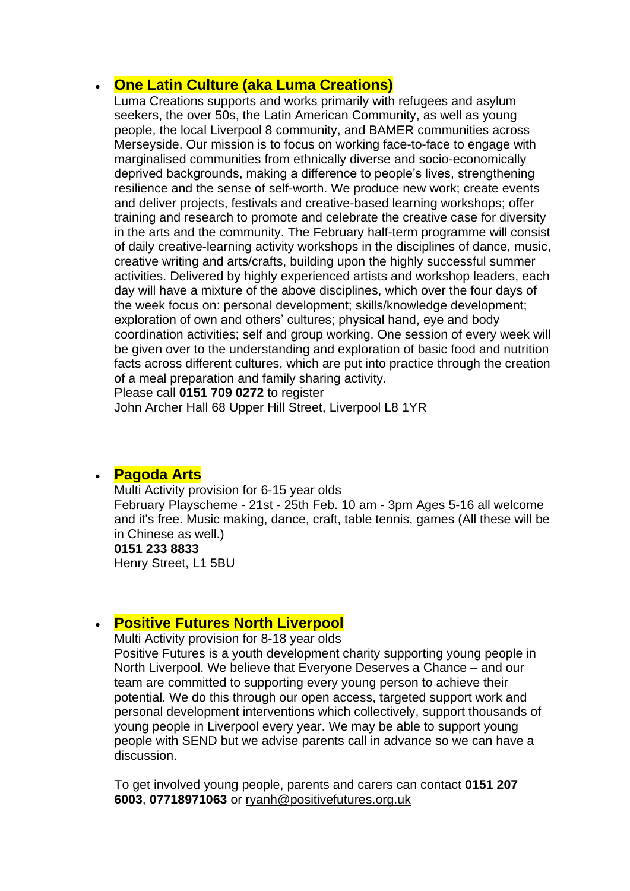# • **One Latin Culture (aka Luma Creations)**

Luma Creations supports and works primarily with refugees and asylum seekers, the over 50s, the Latin American Community, as well as young people, the local Liverpool 8 community, and BAMER communities across Merseyside. Our mission is to focus on working face-to-face to engage with marginalised communities from ethnically diverse and socio-economically deprived backgrounds, making a difference to people's lives, strengthening resilience and the sense of self-worth. We produce new work; create events and deliver projects, festivals and creative-based learning workshops; offer training and research to promote and celebrate the creative case for diversity in the arts and the community. The February half-term programme will consist of daily creative-learning activity workshops in the disciplines of dance, music, creative writing and arts/crafts, building upon the highly successful summer activities. Delivered by highly experienced artists and workshop leaders, each day will have a mixture of the above disciplines, which over the four days of the week focus on: personal development; skills/knowledge development; exploration of own and others' cultures; physical hand, eye and body coordination activities; self and group working. One session of every week will be given over to the understanding and exploration of basic food and nutrition facts across different cultures, which are put into practice through the creation of a meal preparation and family sharing activity.

Please call **0151 709 0272** to register

John Archer Hall 68 Upper Hill Street, Liverpool L8 1YR

### • **[Pagoda Arts](http://pagodaarts.org.uk/)**

Multi Activity provision for 6-15 year olds February Playscheme - 21st - 25th Feb. 10 am - 3pm Ages 5-16 all welcome and it's free. Music making, dance, craft, table tennis, games (All these will be in Chinese as well.) **0151 233 8833** Henry Street, L1 5BU

### • **[Positive Futures North Liverpool](https://www.positivefutures.org.uk/)**

Multi Activity provision for 8-18 year olds

Positive Futures is a youth development charity supporting young people in North Liverpool. We believe that Everyone Deserves a Chance – and our team are committed to supporting every young person to achieve their potential. We do this through our open access, targeted support work and personal development interventions which collectively, support thousands of young people in Liverpool every year. We may be able to support young people with SEND but we advise parents call in advance so we can have a discussion.

To get involved young people, parents and carers can contact **0151 207 6003**, **07718971063** or [ryanh@positivefutures.org.uk](mailto:ryanh@positivefutures.org.uk)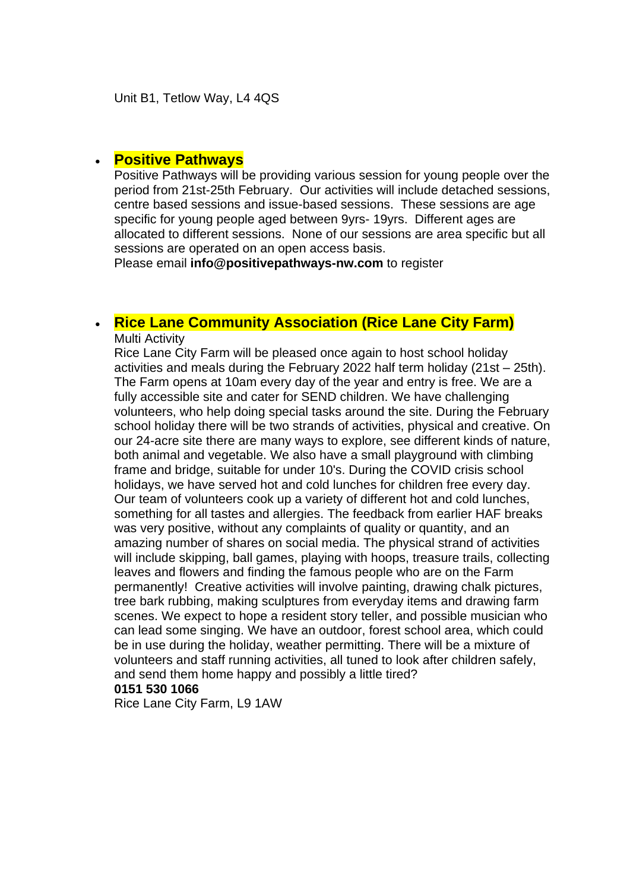### • **Positive Pathways**

Positive Pathways will be providing various session for young people over the period from 21st-25th February. Our activities will include detached sessions, centre based sessions and issue-based sessions. These sessions are age specific for young people aged between 9yrs- 19yrs. Different ages are allocated to different sessions. None of our sessions are area specific but all sessions are operated on an open access basis.

Please email **info@positivepathways-nw.com** to register

### • **[Rice Lane Community Association \(Rice Lane City Farm\)](https://ricelanecityfarm.co.uk/)** Multi Activity

Rice Lane City Farm will be pleased once again to host school holiday activities and meals during the February 2022 half term holiday (21st – 25th). The Farm opens at 10am every day of the year and entry is free. We are a fully accessible site and cater for SEND children. We have challenging volunteers, who help doing special tasks around the site. During the February school holiday there will be two strands of activities, physical and creative. On our 24-acre site there are many ways to explore, see different kinds of nature, both animal and vegetable. We also have a small playground with climbing frame and bridge, suitable for under 10's. During the COVID crisis school holidays, we have served hot and cold lunches for children free every day. Our team of volunteers cook up a variety of different hot and cold lunches, something for all tastes and allergies. The feedback from earlier HAF breaks was very positive, without any complaints of quality or quantity, and an amazing number of shares on social media. The physical strand of activities will include skipping, ball games, playing with hoops, treasure trails, collecting leaves and flowers and finding the famous people who are on the Farm permanently! Creative activities will involve painting, drawing chalk pictures, tree bark rubbing, making sculptures from everyday items and drawing farm scenes. We expect to hope a resident story teller, and possible musician who can lead some singing. We have an outdoor, forest school area, which could be in use during the holiday, weather permitting. There will be a mixture of volunteers and staff running activities, all tuned to look after children safely, and send them home happy and possibly a little tired? **0151 530 1066**

Rice Lane City Farm, L9 1AW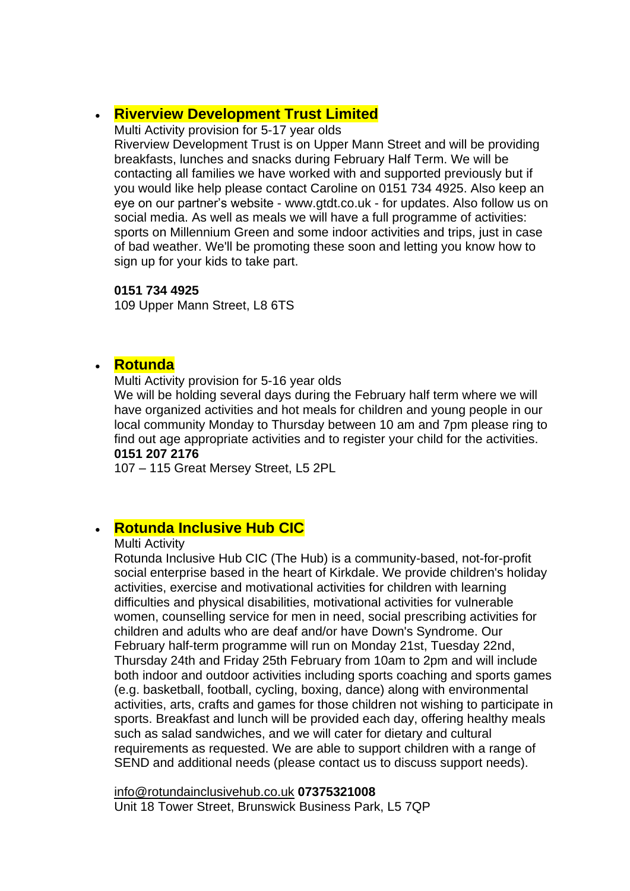# • **[Riverview Development Trust Limited](http://www.gtdt.co.uk/)**

Multi Activity provision for 5-17 year olds Riverview Development Trust is on Upper Mann Street and will be providing breakfasts, lunches and snacks during February Half Term. We will be contacting all families we have worked with and supported previously but if you would like help please contact Caroline on 0151 734 4925. Also keep an eye on our partner's website - www.gtdt.co.uk - for updates. Also follow us on social media. As well as meals we will have a full programme of activities: sports on Millennium Green and some indoor activities and trips, just in case of bad weather. We'll be promoting these soon and letting you know how to sign up for your kids to take part.

### **0151 734 4925**

109 Upper Mann Street, L8 6TS

## • **[Rotunda](https://www.therotunda.org.uk/)**

Multi Activity provision for 5-16 year olds

We will be holding several days during the February half term where we will have organized activities and hot meals for children and young people in our local community Monday to Thursday between 10 am and 7pm please ring to find out age appropriate activities and to register your child for the activities. **0151 207 2176**

107 – 115 Great Mersey Street, L5 2PL

# • **[Rotunda Inclusive Hub CIC](https://theinclusivehub.co.uk/)**

#### Multi Activity

Rotunda Inclusive Hub CIC (The Hub) is a community-based, not-for-profit social enterprise based in the heart of Kirkdale. We provide children's holiday activities, exercise and motivational activities for children with learning difficulties and physical disabilities, motivational activities for vulnerable women, counselling service for men in need, social prescribing activities for children and adults who are deaf and/or have Down's Syndrome. Our February half-term programme will run on Monday 21st, Tuesday 22nd, Thursday 24th and Friday 25th February from 10am to 2pm and will include both indoor and outdoor activities including sports coaching and sports games (e.g. basketball, football, cycling, boxing, dance) along with environmental activities, arts, crafts and games for those children not wishing to participate in sports. Breakfast and lunch will be provided each day, offering healthy meals such as salad sandwiches, and we will cater for dietary and cultural requirements as requested. We are able to support children with a range of SEND and additional needs (please contact us to discuss support needs).

[info@rotundainclusivehub.co.uk](mailto:info@rotundainclusivehub.co.uk) **07375321008** Unit 18 Tower Street, Brunswick Business Park, L5 7QP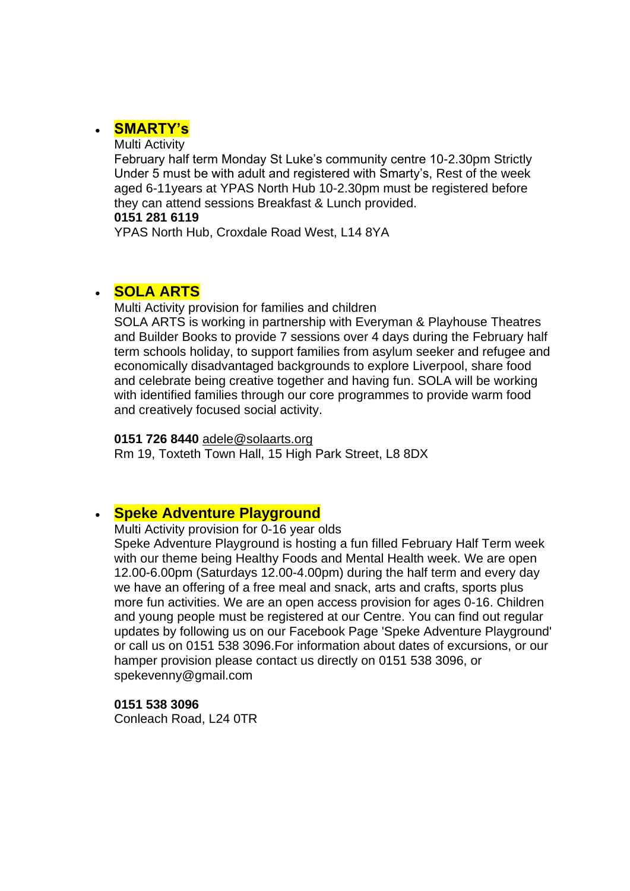# • **[SMARTY's](https://www.facebook.com/smartysliverpool/)**

Multi Activity

February half term Monday St Luke's community centre 10-2.30pm Strictly Under 5 must be with adult and registered with Smarty's, Rest of the week aged 6-11years at YPAS North Hub 10-2.30pm must be registered before they can attend sessions Breakfast & Lunch provided.

#### **0151 281 6119**

YPAS North Hub, Croxdale Road West, L14 8YA

# • **[SOLA ARTS](http://solaarts.org/)**

Multi Activity provision for families and children SOLA ARTS is working in partnership with Everyman & Playhouse Theatres and Builder Books to provide 7 sessions over 4 days during the February half term schools holiday, to support families from asylum seeker and refugee and economically disadvantaged backgrounds to explore Liverpool, share food and celebrate being creative together and having fun. SOLA will be working with identified families through our core programmes to provide warm food and creatively focused social activity.

**0151 726 8440** [adele@solaarts.org](mailto:adele@solaarts.org)

Rm 19, Toxteth Town Hall, 15 High Park Street, L8 8DX

# • **[Speke Adventure Playground](http://www.spekeadventure.co.uk/)**

Multi Activity provision for 0-16 year olds

Speke Adventure Playground is hosting a fun filled February Half Term week with our theme being Healthy Foods and Mental Health week. We are open 12.00-6.00pm (Saturdays 12.00-4.00pm) during the half term and every day we have an offering of a free meal and snack, arts and crafts, sports plus more fun activities. We are an open access provision for ages 0-16. Children and young people must be registered at our Centre. You can find out regular updates by following us on our Facebook Page 'Speke Adventure Playground' or call us on 0151 538 3096.For information about dates of excursions, or our hamper provision please contact us directly on 0151 538 3096, or spekevenny@gmail.com

**0151 538 3096** Conleach Road, L24 0TR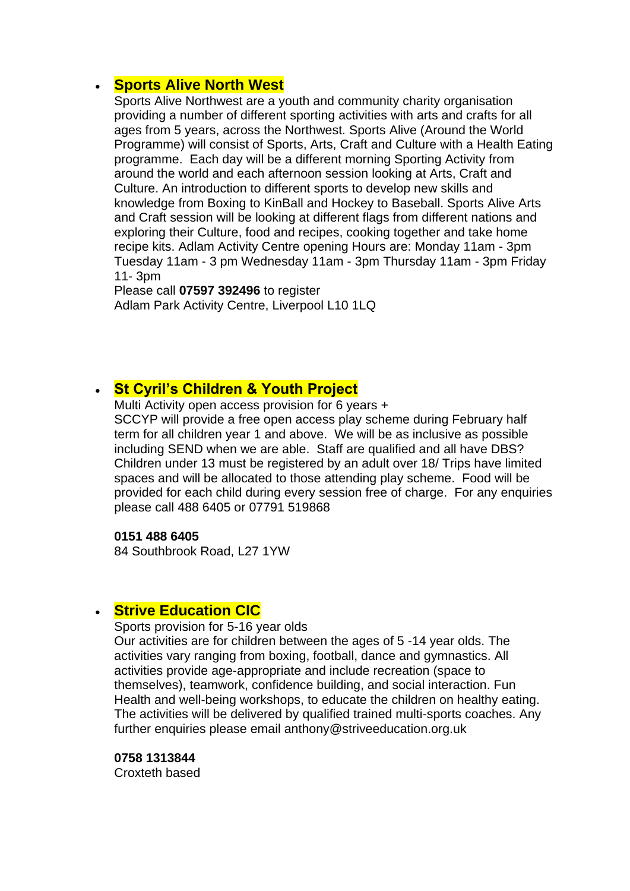### • **Sports Alive North West**

Sports Alive Northwest are a youth and community charity organisation providing a number of different sporting activities with arts and crafts for all ages from 5 years, across the Northwest. Sports Alive (Around the World Programme) will consist of Sports, Arts, Craft and Culture with a Health Eating programme. Each day will be a different morning Sporting Activity from around the world and each afternoon session looking at Arts, Craft and Culture. An introduction to different sports to develop new skills and knowledge from Boxing to KinBall and Hockey to Baseball. Sports Alive Arts and Craft session will be looking at different flags from different nations and exploring their Culture, food and recipes, cooking together and take home recipe kits. Adlam Activity Centre opening Hours are: Monday 11am - 3pm Tuesday 11am - 3 pm Wednesday 11am - 3pm Thursday 11am - 3pm Friday 11- 3pm

Please call **07597 392496** to register Adlam Park Activity Centre, Liverpool L10 1LQ

# • **[St Cyril's Children & Youth Project](https://www.facebook.com/sccypkids)**

Multi Activity open access provision for 6 years + SCCYP will provide a free open access play scheme during February half term for all children year 1 and above. We will be as inclusive as possible including SEND when we are able. Staff are qualified and all have DBS? Children under 13 must be registered by an adult over 18/ Trips have limited spaces and will be allocated to those attending play scheme. Food will be provided for each child during every session free of charge. For any enquiries please call 488 6405 or 07791 519868

#### **0151 488 6405**

84 Southbrook Road, L27 1YW

### • **Strive Education CIC**

Sports provision for 5-16 year olds

Our activities are for children between the ages of 5 -14 year olds. The activities vary ranging from boxing, football, dance and gymnastics. All activities provide age-appropriate and include recreation (space to themselves), teamwork, confidence building, and social interaction. Fun Health and well-being workshops, to educate the children on healthy eating. The activities will be delivered by qualified trained multi-sports coaches. Any further enquiries please email anthony@striveeducation.org.uk

**0758 1313844** Croxteth based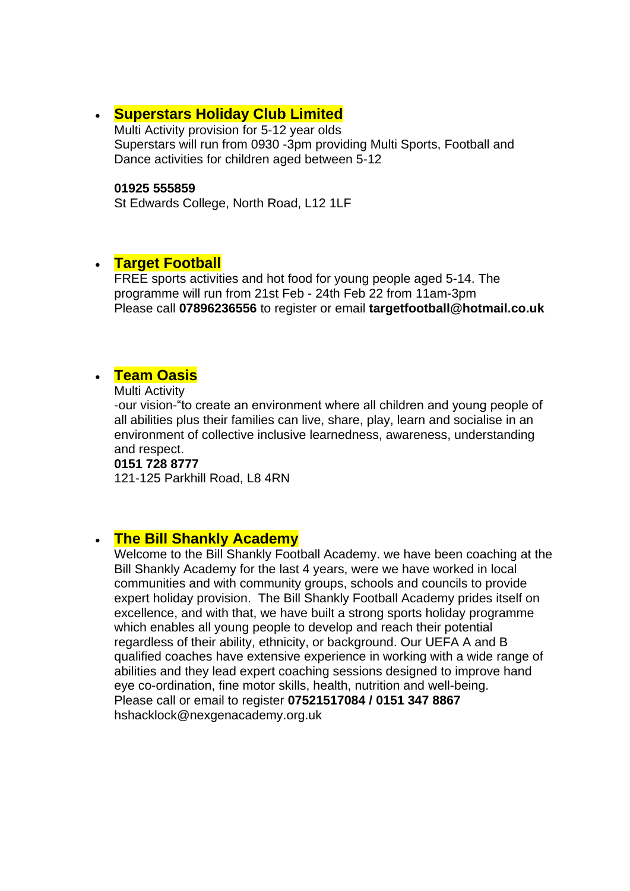# • **[Superstars Holiday Club Limited](http://www.littlesuperstars.co.uk/)**

Multi Activity provision for 5-12 year olds Superstars will run from 0930 -3pm providing Multi Sports, Football and Dance activities for children aged between 5-12

#### **01925 555859**

St Edwards College, North Road, L12 1LF

### • **Target Football**

FREE sports activities and hot food for young people aged 5-14. The programme will run from 21st Feb - 24th Feb 22 from 11am-3pm Please call **07896236556** to register or email **targetfootball@hotmail.co.uk**

### • **[Team Oasis](https://www.theteamoasis.org/)**

Multi Activity

-our vision-"to create an environment where all children and young people of all abilities plus their families can live, share, play, learn and socialise in an environment of collective inclusive learnedness, awareness, understanding and respect.

#### **0151 728 8777**

121-125 Parkhill Road, L8 4RN

### • **The Bill Shankly Academy**

Welcome to the Bill Shankly Football Academy. we have been coaching at the Bill Shankly Academy for the last 4 years, were we have worked in local communities and with community groups, schools and councils to provide expert holiday provision. The Bill Shankly Football Academy prides itself on excellence, and with that, we have built a strong sports holiday programme which enables all young people to develop and reach their potential regardless of their ability, ethnicity, or background. Our UEFA A and B qualified coaches have extensive experience in working with a wide range of abilities and they lead expert coaching sessions designed to improve hand eye co-ordination, fine motor skills, health, nutrition and well-being. Please call or email to register **07521517084 / 0151 347 8867** hshacklock@nexgenacademy.org.uk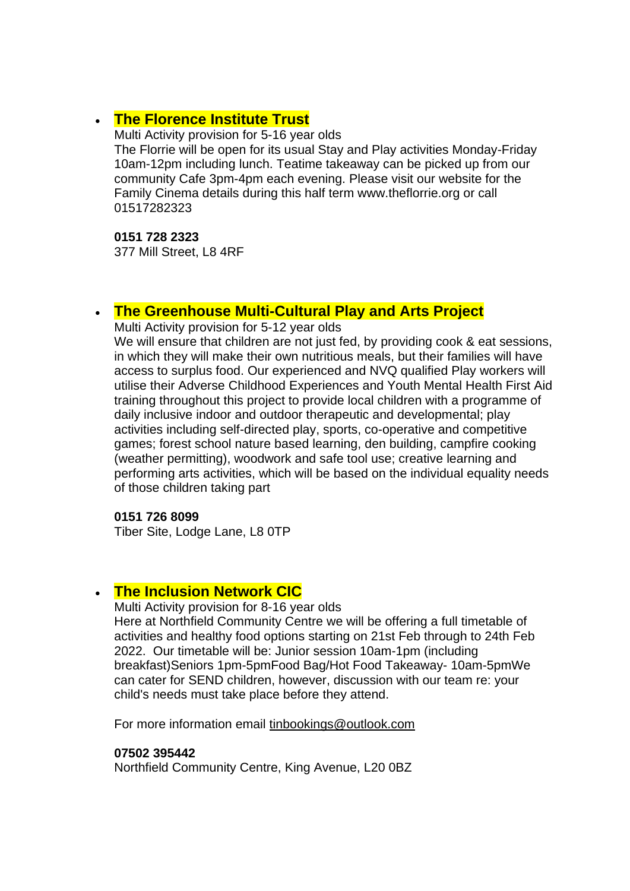## • **[The Florence Institute Trust](https://www.theflorrie.org/)**

Multi Activity provision for 5-16 year olds The Florrie will be open for its usual Stay and Play activities Monday-Friday 10am-12pm including lunch. Teatime takeaway can be picked up from our community Cafe 3pm-4pm each evening. Please visit our website for the Family Cinema details during this half term www.theflorrie.org or call 01517282323

**0151 728 2323**

377 Mill Street, L8 4RF

## • **[The Greenhouse Multi-Cultural Play and Arts Project](https://www.greenhouseproject.org.uk/)**

Multi Activity provision for 5-12 year olds

We will ensure that children are not just fed, by providing cook & eat sessions, in which they will make their own nutritious meals, but their families will have access to surplus food. Our experienced and NVQ qualified Play workers will utilise their Adverse Childhood Experiences and Youth Mental Health First Aid training throughout this project to provide local children with a programme of daily inclusive indoor and outdoor therapeutic and developmental; play activities including self-directed play, sports, co-operative and competitive games; forest school nature based learning, den building, campfire cooking (weather permitting), woodwork and safe tool use; creative learning and performing arts activities, which will be based on the individual equality needs of those children taking part

#### **0151 726 8099**

Tiber Site, Lodge Lane, L8 0TP

# • **[The Inclusion Network CIC](https://theinclusionnetwork.uk/)**

Multi Activity provision for 8-16 year olds

Here at Northfield Community Centre we will be offering a full timetable of activities and healthy food options starting on 21st Feb through to 24th Feb 2022. Our timetable will be: Junior session 10am-1pm (including breakfast)Seniors 1pm-5pmFood Bag/Hot Food Takeaway- 10am-5pmWe can cater for SEND children, however, discussion with our team re: your child's needs must take place before they attend.

For more information email [tinbookings@outlook.com](mailto:tinbookings@outlook.com)

#### **07502 395442**

Northfield Community Centre, King Avenue, L20 0BZ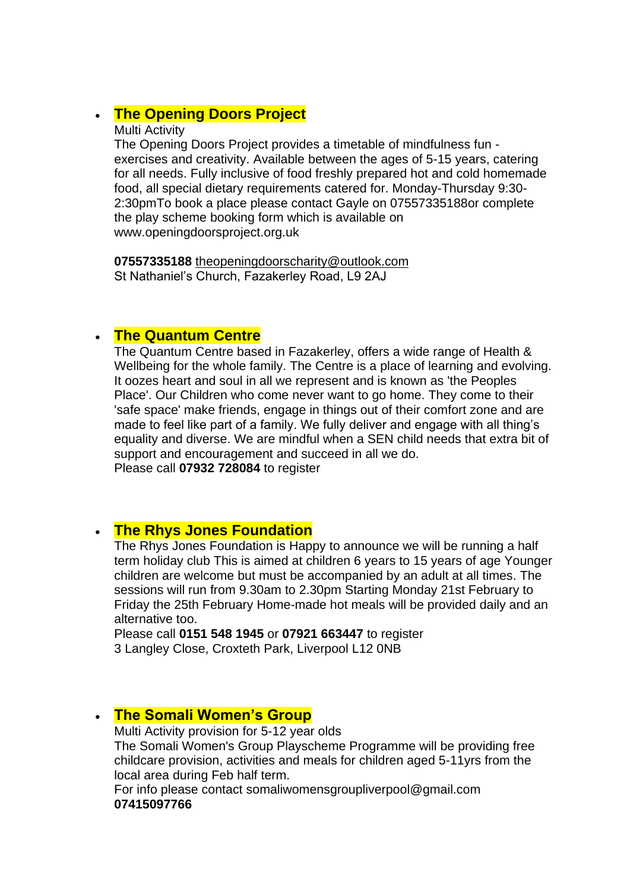# • **[The Opening Doors Project](https://openingdoorsproject.org.uk/)**

#### Multi Activity

The Opening Doors Project provides a timetable of mindfulness fun exercises and creativity. Available between the ages of 5-15 years, catering for all needs. Fully inclusive of food freshly prepared hot and cold homemade food, all special dietary requirements catered for. Monday-Thursday 9:30- 2:30pmTo book a place please contact Gayle on 07557335188or complete the play scheme booking form which is available on www.openingdoorsproject.org.uk

**07557335188** [theopeningdoorscharity@outlook.com](mailto:Theopeningdoorscharity@outlook..com) St Nathaniel's Church, Fazakerley Road, L9 2AJ

## • **The Quantum Centre**

The Quantum Centre based in Fazakerley, offers a wide range of Health & Wellbeing for the whole family. The Centre is a place of learning and evolving. It oozes heart and soul in all we represent and is known as 'the Peoples Place'. Our Children who come never want to go home. They come to their 'safe space' make friends, engage in things out of their comfort zone and are made to feel like part of a family. We fully deliver and engage with all thing's equality and diverse. We are mindful when a SEN child needs that extra bit of support and encouragement and succeed in all we do. Please call **07932 728084** to register

# • **The Rhys Jones Foundation**

The Rhys Jones Foundation is Happy to announce we will be running a half term holiday club This is aimed at children 6 years to 15 years of age Younger children are welcome but must be accompanied by an adult at all times. The sessions will run from 9.30am to 2.30pm Starting Monday 21st February to Friday the 25th February Home-made hot meals will be provided daily and an alternative too.

Please call **0151 548 1945** or **07921 663447** to register 3 Langley Close, Croxteth Park, Liverpool L12 0NB

# • **[The Somali Women's Group](https://swg.org.uk/)**

Multi Activity provision for 5-12 year olds The Somali Women's Group Playscheme Programme will be providing free childcare provision, activities and meals for children aged 5-11yrs from the local area during Feb half term.

For info please contact somaliwomensgroupliverpool@gmail.com **07415097766**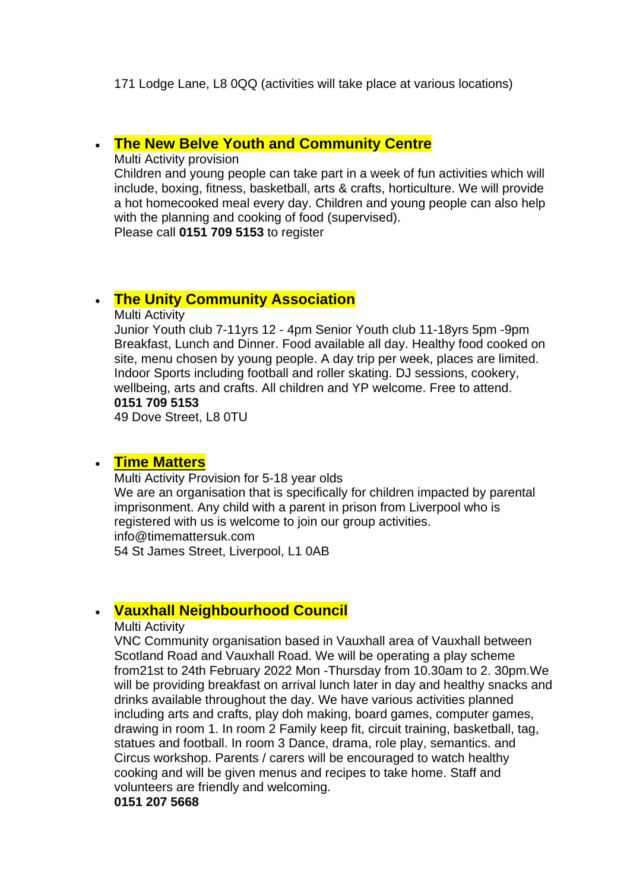171 Lodge Lane, L8 0QQ (activities will take place at various locations)

# • **The New Belve Youth and Community Centre**

Multi Activity provision

Children and young people can take part in a week of fun activities which will include, boxing, fitness, basketball, arts & crafts, horticulture. We will provide a hot homecooked meal every day. Children and young people can also help with the planning and cooking of food (supervised).

Please call **0151 709 5153** to register

# • **[The Unity Community Association](https://www.facebook.com/Unity-Community-Association-1397400053833036/)**

Multi Activity

Junior Youth club 7-11yrs 12 - 4pm Senior Youth club 11-18yrs 5pm -9pm Breakfast, Lunch and Dinner. Food available all day. Healthy food cooked on site, menu chosen by young people. A day trip per week, places are limited. Indoor Sports including football and roller skating. DJ sessions, cookery, wellbeing, arts and crafts. All children and YP welcome. Free to attend. **0151 709 5153**

49 Dove Street, L8 0TU

### • **[Time Matters](https://www.timemattersuk.com/)**

Multi Activity Provision for 5-18 year olds We are an organisation that is specifically for children impacted by parental imprisonment. Any child with a parent in prison from Liverpool who is registered with us is welcome to join our group activities. info@timemattersuk.com 54 St James Street, Liverpool, L1 0AB

# • **Vauxhall Neighbourhood Council**

#### Multi Activity

VNC Community organisation based in Vauxhall area of Vauxhall between Scotland Road and Vauxhall Road. We will be operating a play scheme from21st to 24th February 2022 Mon -Thursday from 10.30am to 2. 30pm.We will be providing breakfast on arrival lunch later in day and healthy snacks and drinks available throughout the day. We have various activities planned including arts and crafts, play doh making, board games, computer games, drawing in room 1. In room 2 Family keep fit, circuit training, basketball, tag, statues and football. In room 3 Dance, drama, role play, semantics. and Circus workshop. Parents / carers will be encouraged to watch healthy cooking and will be given menus and recipes to take home. Staff and volunteers are friendly and welcoming.

#### **0151 207 5668**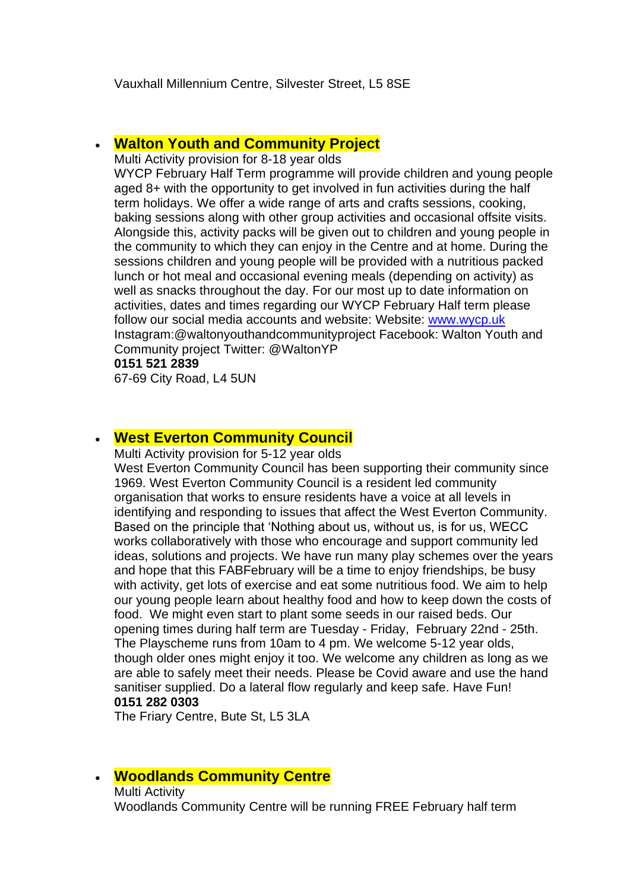Vauxhall Millennium Centre, Silvester Street, L5 8SE

### • **[Walton Youth and Community Project](http://www.waltonyouthproject.co.uk/)**

Multi Activity provision for 8-18 year olds

WYCP February Half Term programme will provide children and young people aged 8+ with the opportunity to get involved in fun activities during the half term holidays. We offer a wide range of arts and crafts sessions, cooking, baking sessions along with other group activities and occasional offsite visits. Alongside this, activity packs will be given out to children and young people in the community to which they can enjoy in the Centre and at home. During the sessions children and young people will be provided with a nutritious packed lunch or hot meal and occasional evening meals (depending on activity) as well as snacks throughout the day. For our most up to date information on activities, dates and times regarding our WYCP February Half term please follow our social media accounts and website: Website: [www.wycp.uk](http://www.wycp.uk/) Instagram:@waltonyouthandcommunityproject Facebook: Walton Youth and Community project Twitter: @WaltonYP

### **0151 521 2839**

67-69 City Road, L4 5UN

### • **[West Everton Community Council](http://www.westevertoncc.co.uk/)**

Multi Activity provision for 5-12 year olds

West Everton Community Council has been supporting their community since 1969. West Everton Community Council is a resident led community organisation that works to ensure residents have a voice at all levels in identifying and responding to issues that affect the West Everton Community. Based on the principle that 'Nothing about us, without us, is for us, WECC works collaboratively with those who encourage and support community led ideas, solutions and projects. We have run many play schemes over the years and hope that this FABFebruary will be a time to enjoy friendships, be busy with activity, get lots of exercise and eat some nutritious food. We aim to help our young people learn about healthy food and how to keep down the costs of food. We might even start to plant some seeds in our raised beds. Our opening times during half term are Tuesday - Friday, February 22nd - 25th. The Playscheme runs from 10am to 4 pm. We welcome 5-12 year olds, though older ones might enjoy it too. We welcome any children as long as we are able to safely meet their needs. Please be Covid aware and use the hand sanitiser supplied. Do a lateral flow regularly and keep safe. Have Fun! **0151 282 0303**

The Friary Centre, Bute St, L5 3LA

### • **[Woodlands Community Centre](https://www.facebook.com/pages/Woodlands%20Community%20Centre/303459883061921/)**

Multi Activity Woodlands Community Centre will be running FREE February half term